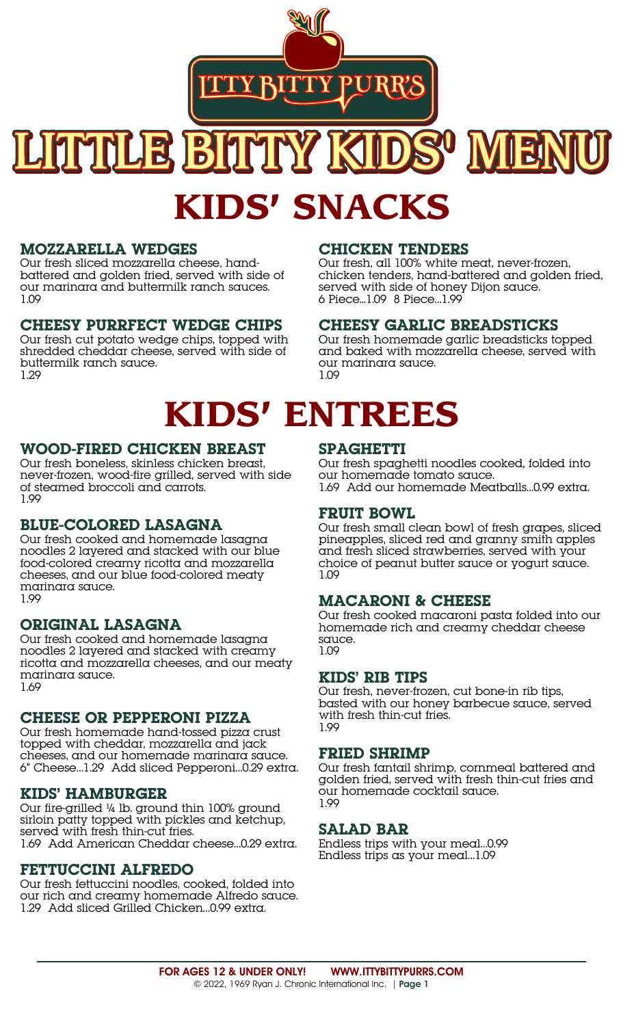

**MOZZARELLA WEDGES** battered and golden fried, served with side of our marinara and buttermilk ranch sauces. 1.09

# **CHEESY PURRFECT WEDGE CHIPS**

Our fresh cut potato wedge chips, topped with shredded cheddar cheese, served with side of buttermilk ranch sauce. 1.29

### **CHICKEN TENDERS**

Our fresh, all 100% white meat, never-frozen, chicken tenders, hand-battered and golden fried, served with side of honey Dijon sauce. 6 Piece...1.09 8 Piece…1.99

# **CHEESY GARLIC BREADSTICKS**

Our fresh homemade garlic breadsticks topped and baked with mozzarella cheese, served with our marinara sauce. 1.09

# **KIDS' ENTREES**

# **WOOD-FIRED CHICKEN BREAST**

Our fresh boneless, skinless chicken breast, never-frozen, wood-fire grilled, served with side of steamed broccoli and carrots. 1.99

# **BLUE-COLORED LASAGNA**

Our fresh cooked and homemade lasagna noodles 2 layered and stacked with our blue food-colored creamy ricotta and mozzarella cheeses, and our blue food-colored meaty marinara sauce. 1.99

# **ORIGINAL LASAGNA**

Our fresh cooked and homemade lasagna noodles 2 layered and stacked with creamy ricotta and mozzarella cheeses, and our meaty marinara sauce. 1.69

# **CHEESE OR PEPPERONI PIZZA**

Our fresh homemade hand-tossed pizza crust topped with cheddar, mozzarella and jack cheeses, and our homemade marinara sauce. 6" Cheese…1.29 Add sliced Pepperoni…0.29 extra.

# **KIDS' HAMBURGER**

Our fire-grilled ¼ lb. ground thin 100% ground sirloin patty topped with pickles and ketchup, served with fresh thin-cut fries. 1.69 Add American Cheddar cheese…0.29 extra.

# **FETTUCCINI ALFREDO**

Our fresh fettuccini noodles, cooked, folded into our rich and creamy homemade Alfredo sauce. 1.29 Add sliced Grilled Chicken…0.99 extra.

# **SPAGHETTI**

Our fresh spaghetti noodles cooked, folded into our homemade tomato sauce. 1.69 Add our homemade Meatballs…0.99 extra.

### **FRUIT BOWL**

Our fresh small clean bowl of fresh grapes, sliced pineapples, sliced red and granny smith apples and fresh sliced strawberries, served with your choice of peanut butter sauce or yogurt sauce. 1.09

#### **MACARONI & CHEESE**

Our fresh cooked macaroni pasta folded into our homemade rich and creamy cheddar cheese sauce. 1.09

#### **KIDS' RIB TIPS**

Our fresh, never-frozen, cut bone-in rib tips, basted with our honey barbecue sauce, served with fresh thin-cut fries. 1.99

#### **FRIED SHRIMP**

Our fresh fantail shrimp, cornmeal battered and golden fried, served with fresh thin-cut fries and our homemade cocktail sauce. 1.99

#### **SALAD BAR**

Endless trips with your meal…0.99 Endless trips as your meal…1.09